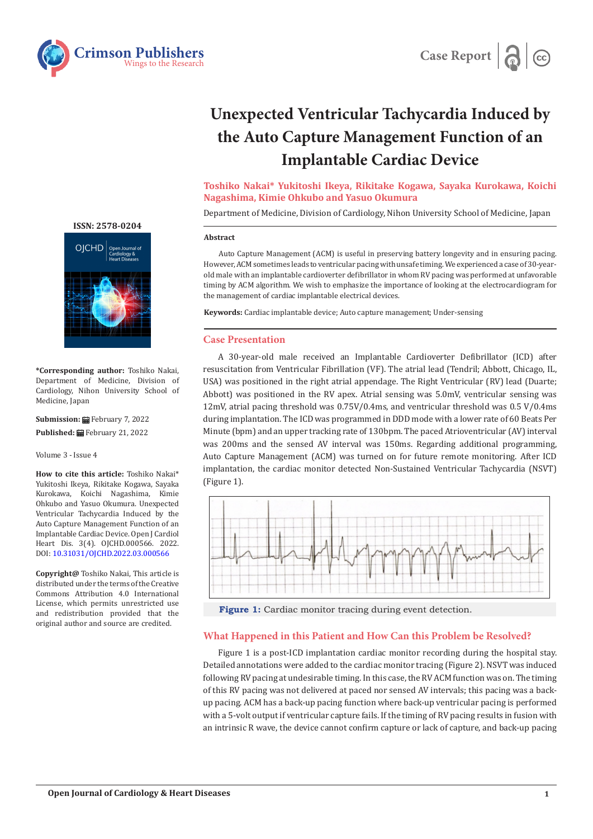



# **Unexpected Ventricular Tachycardia Induced by the Auto Capture Management Function of an Implantable Cardiac Device**

**Toshiko Nakai\* Yukitoshi Ikeya, Rikitake Kogawa, Sayaka Kurokawa, Koichi Nagashima, Kimie Ohkubo and Yasuo Okumura**

Department of Medicine, Division of Cardiology, Nihon University School of Medicine, Japan

### **Abstract**

Auto Capture Management (ACM) is useful in preserving battery longevity and in ensuring pacing. However, ACM sometimes leads to ventricular pacing with unsafe timing. We experienced a case of 30-yearold male with an implantable cardioverter defibrillator in whom RV pacing was performed at unfavorable timing by ACM algorithm. We wish to emphasize the importance of looking at the electrocardiogram for the management of cardiac implantable electrical devices.

**Keywords:** Cardiac implantable device; Auto capture management; Under-sensing

## **Case Presentation**

A 30-year-old male received an Implantable Cardioverter Defibrillator (ICD) after resuscitation from Ventricular Fibrillation (VF). The atrial lead (Tendril; Abbott, Chicago, IL, USA) was positioned in the right atrial appendage. The Right Ventricular (RV) lead (Duarte; Abbott) was positioned in the RV apex. Atrial sensing was 5.0mV, ventricular sensing was 12mV, atrial pacing threshold was 0.75V/0.4ms, and ventricular threshold was 0.5 V/0.4ms during implantation. The ICD was programmed in DDD mode with a lower rate of 60 Beats Per Minute (bpm) and an upper tracking rate of 130bpm. The paced Atrioventricular (AV) interval was 200ms and the sensed AV interval was 150ms. Regarding additional programming, Auto Capture Management (ACM) was turned on for future remote monitoring. After ICD implantation, the cardiac monitor detected Non-Sustained Ventricular Tachycardia (NSVT) (Figure 1).



**Figure 1:** Cardiac monitor tracing during event detection.

# **What Happened in this Patient and How Can this Problem be Resolved?**

Figure 1 is a post-ICD implantation cardiac monitor recording during the hospital stay. Detailed annotations were added to the cardiac monitor tracing (Figure 2). NSVT was induced following RV pacing at undesirable timing. In this case, the RV ACM function was on. The timing of this RV pacing was not delivered at paced nor sensed AV intervals; this pacing was a backup pacing. ACM has a back-up pacing function where back-up ventricular pacing is performed with a 5-volt output if ventricular capture fails. If the timing of RV pacing results in fusion with an intrinsic R wave, the device cannot confirm capture or lack of capture, and back-up pacing

# **[ISSN: 2578-0204](https://crimsonpublishers.com/ojchd)**



**\*Corresponding author:** Toshiko Nakai, Department of Medicine, Division of Cardiology, Nihon University School of Medicine, Japan

**Submission: H**ebruary 7, 2022 Published: **■**February 21, 2022

#### Volume 3 - Issue 4

**How to cite this article:** Toshiko Nakai\* Yukitoshi Ikeya, Rikitake Kogawa, Sayaka Kurokawa, Koichi Nagashima, Kimie Ohkubo and Yasuo Okumura. Unexpected Ventricular Tachycardia Induced by the Auto Capture Management Function of an Implantable Cardiac Device. Open J Cardiol Heart Dis. 3(4). OJCHD.000566. 2022. DOI: [10.31031/OJCHD.2022.03.00056](http://dx.doi.org/10.31031/OJCHD.2022.03.000566)6

**Copyright@** Toshiko Nakai, This article is distributed under the terms of the Creative Commons Attribution 4.0 International License, which permits unrestricted use and redistribution provided that the original author and source are credited.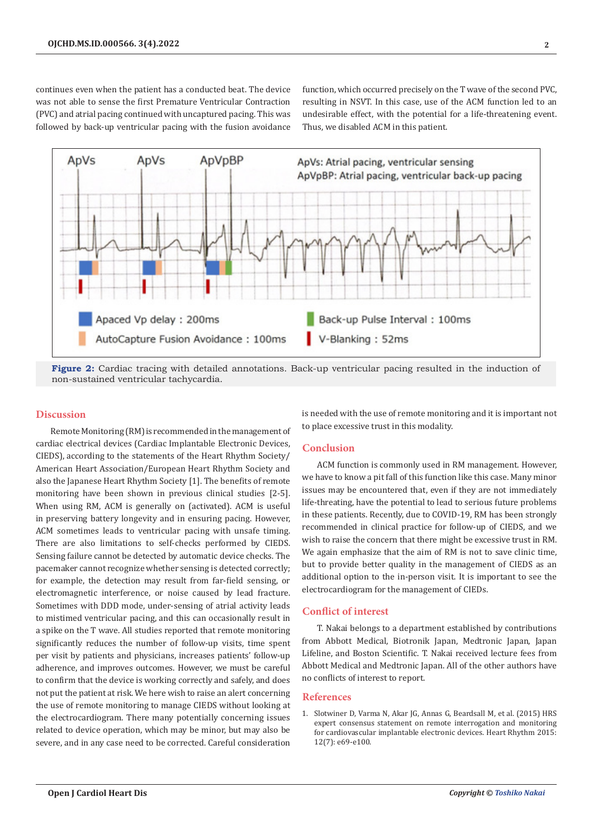continues even when the patient has a conducted beat. The device was not able to sense the first Premature Ventricular Contraction (PVC) and atrial pacing continued with uncaptured pacing. This was followed by back-up ventricular pacing with the fusion avoidance

function, which occurred precisely on the T wave of the second PVC, resulting in NSVT. In this case, use of the ACM function led to an undesirable effect, with the potential for a life-threatening event. Thus, we disabled ACM in this patient.



**Figure 2:** Cardiac tracing with detailed annotations. Back-up ventricular pacing resulted in the induction of non-sustained ventricular tachycardia.

## **Discussion**

Remote Monitoring (RM) is recommended in the management of cardiac electrical devices (Cardiac Implantable Electronic Devices, CIEDS), according to the statements of the Heart Rhythm Society/ American Heart Association/European Heart Rhythm Society and also the Japanese Heart Rhythm Society [1]. The benefits of remote monitoring have been shown in previous clinical studies [2-5]. When using RM, ACM is generally on (activated). ACM is useful in preserving battery longevity and in ensuring pacing. However, ACM sometimes leads to ventricular pacing with unsafe timing. There are also limitations to self-checks performed by CIEDS. Sensing failure cannot be detected by automatic device checks. The pacemaker cannot recognize whether sensing is detected correctly; for example, the detection may result from far-field sensing, or electromagnetic interference, or noise caused by lead fracture. Sometimes with DDD mode, under-sensing of atrial activity leads to mistimed ventricular pacing, and this can occasionally result in a spike on the T wave. All studies reported that remote monitoring significantly reduces the number of follow-up visits, time spent per visit by patients and physicians, increases patients' follow-up adherence, and improves outcomes. However, we must be careful to confirm that the device is working correctly and safely, and does not put the patient at risk. We here wish to raise an alert concerning the use of remote monitoring to manage CIEDS without looking at the electrocardiogram. There many potentially concerning issues related to device operation, which may be minor, but may also be severe, and in any case need to be corrected. Careful consideration

is needed with the use of remote monitoring and it is important not to place excessive trust in this modality.

# **Conclusion**

ACM function is commonly used in RM management. However, we have to know a pit fall of this function like this case. Many minor issues may be encountered that, even if they are not immediately life-threating, have the potential to lead to serious future problems in these patients. Recently, due to COVID-19, RM has been strongly recommended in clinical practice for follow-up of CIEDS, and we wish to raise the concern that there might be excessive trust in RM. We again emphasize that the aim of RM is not to save clinic time, but to provide better quality in the management of CIEDS as an additional option to the in-person visit. It is important to see the electrocardiogram for the management of CIEDs.

# **Conflict of interest**

T. Nakai belongs to a department established by contributions from Abbott Medical, Biotronik Japan, Medtronic Japan, Japan Lifeline, and Boston Scientific. T. Nakai received lecture fees from Abbott Medical and Medtronic Japan. All of the other authors have no conflicts of interest to report.

# **References**

1. [Slotwiner D, Varma N, Akar JG, Annas G, Beardsall M, et al. \(2015\) HRS](https://pubmed.ncbi.nlm.nih.gov/25981148/) [expert consensus statement on remote interrogation and monitoring](https://pubmed.ncbi.nlm.nih.gov/25981148/) [for cardiovascular implantable electronic devices. Heart Rhythm 2015:](https://pubmed.ncbi.nlm.nih.gov/25981148/) [12\(7\): e69-e100.](https://pubmed.ncbi.nlm.nih.gov/25981148/)